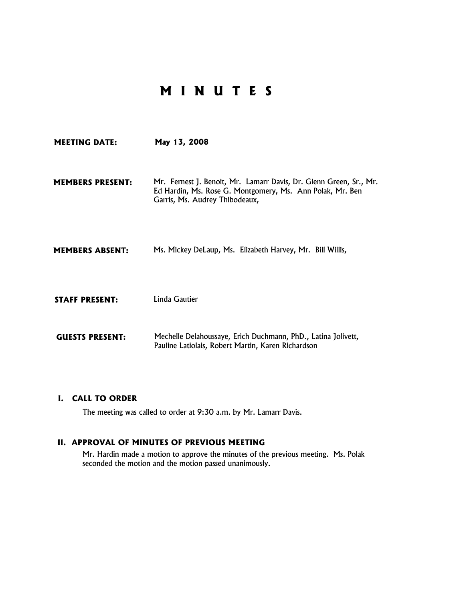# **M I N U T E S**

**MEETING DATE: May 13, 2008 MEMBERS PRESENT:** Mr. Fernest J. Benoit, Mr. Lamarr Davis, Dr. Glenn Green, Sr., Mr. Ed Hardin, Ms. Rose G. Montgomery, Ms. Ann Polak, Mr. Ben Garris, Ms. Audrey Thibodeaux, **MEMBERS ABSENT:** Ms. Mickey DeLaup, Ms. Elizabeth Harvey, Mr. Bill Willis, **STAFF PRESENT:** Linda Gautier

**GUESTS PRESENT:** Mechelle Delahoussaye, Erich Duchmann, PhD., Latina Jolivett, Pauline Latiolais, Robert Martin, Karen Richardson

#### **I. CALL TO ORDER**

The meeting was called to order at 9:30 a.m. by Mr. Lamarr Davis.

#### **II. APPROVAL OF MINUTES OF PREVIOUS MEETING**

Mr. Hardin made a motion to approve the minutes of the previous meeting. Ms. Polak seconded the motion and the motion passed unanimously.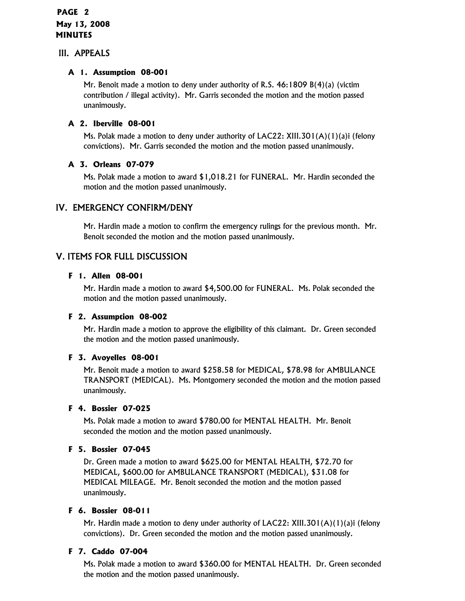### III. APPEALS

#### **A 1. Assumption 08-001**

Mr. Benoit made a motion to deny under authority of R.S. 46:1809 B(4)(a) (victim contribution / illegal activity). Mr. Garris seconded the motion and the motion passed unanimously.

### **A 2. Iberville 08-001**

Ms. Polak made a motion to deny under authority of LAC22: XIII.301(A)(1)(a)i (felony convictions). Mr. Garris seconded the motion and the motion passed unanimously.

#### **A 3. Orleans 07-079**

Ms. Polak made a motion to award \$1,018.21 for FUNERAL. Mr. Hardin seconded the motion and the motion passed unanimously.

## IV. EMERGENCY CONFIRM/DENY

Mr. Hardin made a motion to confirm the emergency rulings for the previous month. Mr. Benoit seconded the motion and the motion passed unanimously.

## V. ITEMS FOR FULL DISCUSSION

#### **F 1. Allen 08-001**

Mr. Hardin made a motion to award \$4,500.00 for FUNERAL. Ms. Polak seconded the motion and the motion passed unanimously.

#### **F 2. Assumption 08-002**

Mr. Hardin made a motion to approve the eligibility of this claimant. Dr. Green seconded the motion and the motion passed unanimously.

#### **F 3. Avoyelles 08-001**

Mr. Benoit made a motion to award \$258.58 for MEDICAL, \$78.98 for AMBULANCE TRANSPORT (MEDICAL). Ms. Montgomery seconded the motion and the motion passed unanimously.

#### **F 4. Bossier 07-025**

Ms. Polak made a motion to award \$780.00 for MENTAL HEALTH. Mr. Benoit seconded the motion and the motion passed unanimously.

#### **F 5. Bossier 07-045**

Dr. Green made a motion to award \$625.00 for MENTAL HEALTH, \$72.70 for MEDICAL, \$600.00 for AMBULANCE TRANSPORT (MEDICAL), \$31.08 for MEDICAL MILEAGE. Mr. Benoit seconded the motion and the motion passed unanimously.

#### **F 6. Bossier 08-011**

Mr. Hardin made a motion to deny under authority of LAC22: XIII.301(A)(1)(a)i (felony convictions). Dr. Green seconded the motion and the motion passed unanimously.

#### **F 7. Caddo 07-004**

Ms. Polak made a motion to award \$360.00 for MENTAL HEALTH. Dr. Green seconded the motion and the motion passed unanimously.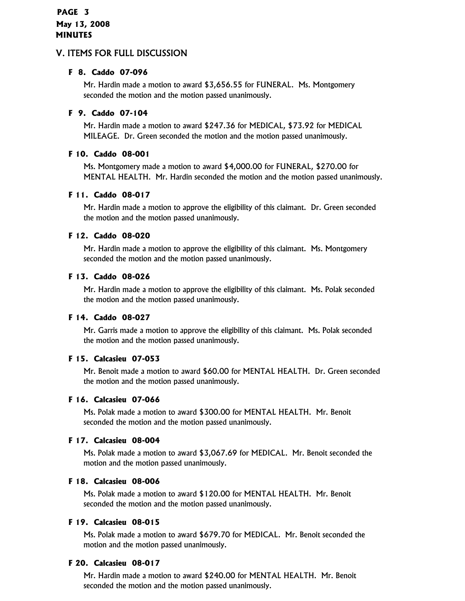#### **F 8. Caddo 07-096**

Mr. Hardin made a motion to award \$3,656.55 for FUNERAL. Ms. Montgomery seconded the motion and the motion passed unanimously.

#### **F 9. Caddo 07-104**

Mr. Hardin made a motion to award \$247.36 for MEDICAL, \$73.92 for MEDICAL MILEAGE. Dr. Green seconded the motion and the motion passed unanimously.

#### **F 10. Caddo 08-001**

Ms. Montgomery made a motion to award \$4,000.00 for FUNERAL, \$270.00 for MENTAL HEALTH. Mr. Hardin seconded the motion and the motion passed unanimously.

#### **F 11. Caddo 08-017**

Mr. Hardin made a motion to approve the eligibility of this claimant. Dr. Green seconded the motion and the motion passed unanimously.

#### **F 12. Caddo 08-020**

Mr. Hardin made a motion to approve the eligibility of this claimant. Ms. Montgomery seconded the motion and the motion passed unanimously.

#### **F 13. Caddo 08-026**

Mr. Hardin made a motion to approve the eligibility of this claimant. Ms. Polak seconded the motion and the motion passed unanimously.

#### **F 14. Caddo 08-027**

Mr. Garris made a motion to approve the eligibility of this claimant. Ms. Polak seconded the motion and the motion passed unanimously.

#### **F 15. Calcasieu 07-053**

Mr. Benoit made a motion to award \$60.00 for MENTAL HEALTH. Dr. Green seconded the motion and the motion passed unanimously.

#### **F 16. Calcasieu 07-066**

Ms. Polak made a motion to award \$300.00 for MENTAL HEALTH. Mr. Benoit seconded the motion and the motion passed unanimously.

#### **F 17. Calcasieu 08-004**

Ms. Polak made a motion to award \$3,067.69 for MEDICAL. Mr. Benoit seconded the motion and the motion passed unanimously.

#### **F 18. Calcasieu 08-006**

Ms. Polak made a motion to award \$120.00 for MENTAL HEALTH. Mr. Benoit seconded the motion and the motion passed unanimously.

#### **F 19. Calcasieu 08-015**

Ms. Polak made a motion to award \$679.70 for MEDICAL. Mr. Benoit seconded the motion and the motion passed unanimously.

#### **F 20. Calcasieu 08-017**

Mr. Hardin made a motion to award \$240.00 for MENTAL HEALTH. Mr. Benoit seconded the motion and the motion passed unanimously.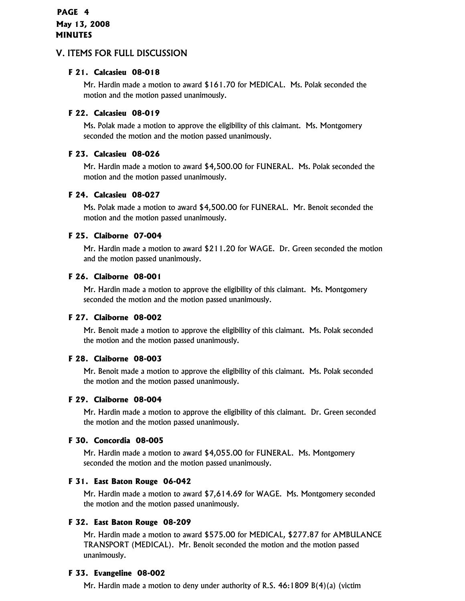#### **F 21. Calcasieu 08-018**

Mr. Hardin made a motion to award \$161.70 for MEDICAL. Ms. Polak seconded the motion and the motion passed unanimously.

#### **F 22. Calcasieu 08-019**

Ms. Polak made a motion to approve the eligibility of this claimant. Ms. Montgomery seconded the motion and the motion passed unanimously.

#### **F 23. Calcasieu 08-026**

Mr. Hardin made a motion to award \$4,500.00 for FUNERAL. Ms. Polak seconded the motion and the motion passed unanimously.

#### **F 24. Calcasieu 08-027**

Ms. Polak made a motion to award \$4,500.00 for FUNERAL. Mr. Benoit seconded the motion and the motion passed unanimously.

#### **F 25. Claiborne 07-004**

Mr. Hardin made a motion to award \$211.20 for WAGE. Dr. Green seconded the motion and the motion passed unanimously.

#### **F 26. Claiborne 08-001**

Mr. Hardin made a motion to approve the eligibility of this claimant. Ms. Montgomery seconded the motion and the motion passed unanimously.

#### **F 27. Claiborne 08-002**

Mr. Benoit made a motion to approve the eligibility of this claimant. Ms. Polak seconded the motion and the motion passed unanimously.

#### **F 28. Claiborne 08-003**

Mr. Benoit made a motion to approve the eligibility of this claimant. Ms. Polak seconded the motion and the motion passed unanimously.

#### **F 29. Claiborne 08-004**

Mr. Hardin made a motion to approve the eligibility of this claimant. Dr. Green seconded the motion and the motion passed unanimously.

#### **F 30. Concordia 08-005**

Mr. Hardin made a motion to award \$4,055.00 for FUNERAL. Ms. Montgomery seconded the motion and the motion passed unanimously.

#### **F 31. East Baton Rouge 06-042**

Mr. Hardin made a motion to award \$7,614.69 for WAGE. Ms. Montgomery seconded the motion and the motion passed unanimously.

#### **F 32. East Baton Rouge 08-209**

Mr. Hardin made a motion to award \$575.00 for MEDICAL, \$277.87 for AMBULANCE TRANSPORT (MEDICAL). Mr. Benoit seconded the motion and the motion passed unanimously.

#### **F 33. Evangeline 08-002**

Mr. Hardin made a motion to deny under authority of R.S. 46:1809 B(4)(a) (victim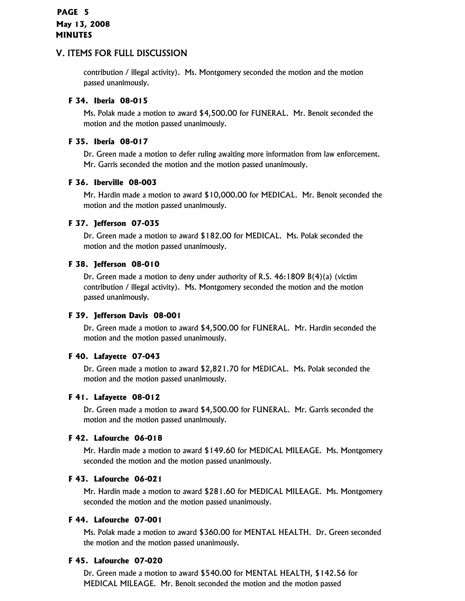## **PAGE 5 May 13, 2008 MINUTES**

## V. ITEMS FOR FULL DISCUSSION

contribution / illegal activity). Ms. Montgomery seconded the motion and the motion passed unanimously.

### **F 34. Iberia 08-015**

Ms. Polak made a motion to award \$4,500.00 for FUNERAL. Mr. Benoit seconded the motion and the motion passed unanimously.

### **F 35. Iberia 08-017**

Dr. Green made a motion to defer ruling awaiting more information from law enforcement. Mr. Garris seconded the motion and the motion passed unanimously.

#### **F 36. Iberville 08-003**

Mr. Hardin made a motion to award \$10,000.00 for MEDICAL. Mr. Benoit seconded the motion and the motion passed unanimously.

#### **F 37. Jefferson 07-035**

Dr. Green made a motion to award \$182.00 for MEDICAL. Ms. Polak seconded the motion and the motion passed unanimously.

#### **F 38. Jefferson 08-010**

Dr. Green made a motion to deny under authority of R.S. 46:1809 B(4)(a) (victim contribution / illegal activity). Ms. Montgomery seconded the motion and the motion passed unanimously.

#### **F 39. Jefferson Davis 08-001**

Dr. Green made a motion to award \$4,500.00 for FUNERAL. Mr. Hardin seconded the motion and the motion passed unanimously.

### **F 40. Lafayette 07-043**

Dr. Green made a motion to award \$2,821.70 for MEDICAL. Ms. Polak seconded the motion and the motion passed unanimously.

#### **F 41. Lafayette 08-012**

Dr. Green made a motion to award \$4,500.00 for FUNERAL. Mr. Garris seconded the motion and the motion passed unanimously.

#### **F 42. Lafourche 06-018**

Mr. Hardin made a motion to award \$149.60 for MEDICAL MILEAGE. Ms. Montgomery seconded the motion and the motion passed unanimously.

#### **F 43. Lafourche 06-021**

Mr. Hardin made a motion to award \$281.60 for MEDICAL MILEAGE. Ms. Montgomery seconded the motion and the motion passed unanimously.

#### **F 44. Lafourche 07-001**

Ms. Polak made a motion to award \$360.00 for MENTAL HEALTH. Dr. Green seconded the motion and the motion passed unanimously.

#### **F 45. Lafourche 07-020**

Dr. Green made a motion to award \$540.00 for MENTAL HEALTH, \$142.56 for MEDICAL MILEAGE. Mr. Benoit seconded the motion and the motion passed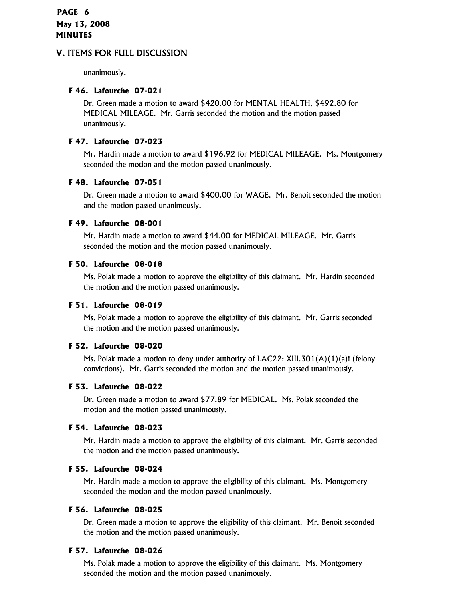unanimously.

#### **F 46. Lafourche 07-021**

Dr. Green made a motion to award \$420.00 for MENTAL HEALTH, \$492.80 for MEDICAL MILEAGE. Mr. Garris seconded the motion and the motion passed unanimously.

#### **F 47. Lafourche 07-023**

Mr. Hardin made a motion to award \$196.92 for MEDICAL MILEAGE. Ms. Montgomery seconded the motion and the motion passed unanimously.

#### **F 48. Lafourche 07-051**

Dr. Green made a motion to award \$400.00 for WAGE. Mr. Benoit seconded the motion and the motion passed unanimously.

#### **F 49. Lafourche 08-001**

Mr. Hardin made a motion to award \$44.00 for MEDICAL MILEAGE. Mr. Garris seconded the motion and the motion passed unanimously.

#### **F 50. Lafourche 08-018**

Ms. Polak made a motion to approve the eligibility of this claimant. Mr. Hardin seconded the motion and the motion passed unanimously.

#### **F 51. Lafourche 08-019**

Ms. Polak made a motion to approve the eligibility of this claimant. Mr. Garris seconded the motion and the motion passed unanimously.

#### **F 52. Lafourche 08-020**

Ms. Polak made a motion to deny under authority of  $LAC22$ : XIII.301(A)(1)(a)i (felony convictions). Mr. Garris seconded the motion and the motion passed unanimously.

#### **F 53. Lafourche 08-022**

Dr. Green made a motion to award \$77.89 for MEDICAL. Ms. Polak seconded the motion and the motion passed unanimously.

#### **F 54. Lafourche 08-023**

Mr. Hardin made a motion to approve the eligibility of this claimant. Mr. Garris seconded the motion and the motion passed unanimously.

#### **F 55. Lafourche 08-024**

Mr. Hardin made a motion to approve the eligibility of this claimant. Ms. Montgomery seconded the motion and the motion passed unanimously.

#### **F 56. Lafourche 08-025**

Dr. Green made a motion to approve the eligibility of this claimant. Mr. Benoit seconded the motion and the motion passed unanimously.

#### **F 57. Lafourche 08-026**

Ms. Polak made a motion to approve the eligibility of this claimant. Ms. Montgomery seconded the motion and the motion passed unanimously.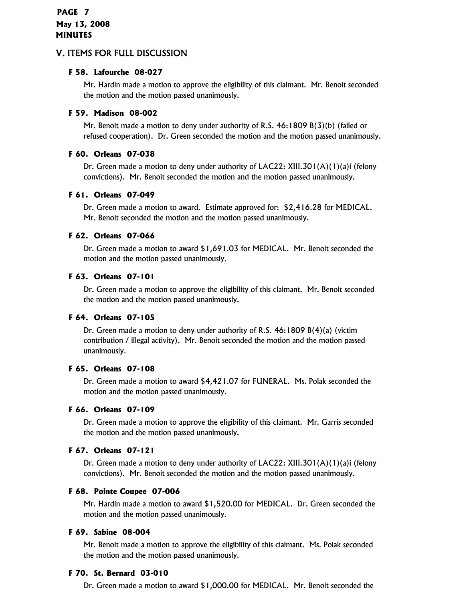#### **F 58. Lafourche 08-027**

Mr. Hardin made a motion to approve the eligibility of this claimant. Mr. Benoit seconded the motion and the motion passed unanimously.

#### **F 59. Madison 08-002**

Mr. Benoit made a motion to deny under authority of R.S. 46:1809 B(3)(b) (failed or refused cooperation). Dr. Green seconded the motion and the motion passed unanimously.

#### **F 60. Orleans 07-038**

Dr. Green made a motion to deny under authority of LAC22: XIII.301(A)(1)(a)i (felony convictions). Mr. Benoit seconded the motion and the motion passed unanimously.

#### **F 61. Orleans 07-049**

Dr. Green made a motion to award. Estimate approved for: \$2,416.28 for MEDICAL. Mr. Benoit seconded the motion and the motion passed unanimously.

#### **F 62. Orleans 07-066**

Dr. Green made a motion to award \$1,691.03 for MEDICAL. Mr. Benoit seconded the motion and the motion passed unanimously.

#### **F 63. Orleans 07-101**

Dr. Green made a motion to approve the eligibility of this claimant. Mr. Benoit seconded the motion and the motion passed unanimously.

#### **F 64. Orleans 07-105**

Dr. Green made a motion to deny under authority of R.S. 46:1809 B(4)(a) (victim contribution / illegal activity). Mr. Benoit seconded the motion and the motion passed unanimously.

#### **F 65. Orleans 07-108**

Dr. Green made a motion to award \$4,421.07 for FUNERAL. Ms. Polak seconded the motion and the motion passed unanimously.

#### **F 66. Orleans 07-109**

Dr. Green made a motion to approve the eligibility of this claimant. Mr. Garris seconded the motion and the motion passed unanimously.

#### **F 67. Orleans 07-121**

Dr. Green made a motion to deny under authority of LAC22: XIII.301(A)(1)(a)i (felony convictions). Mr. Benoit seconded the motion and the motion passed unanimously.

#### **F 68. Pointe Coupee 07-006**

Mr. Hardin made a motion to award \$1,520.00 for MEDICAL. Dr. Green seconded the motion and the motion passed unanimously.

#### **F 69. Sabine 08-004**

Mr. Benoit made a motion to approve the eligibility of this claimant. Ms. Polak seconded the motion and the motion passed unanimously.

#### **F 70. St. Bernard 03-010**

Dr. Green made a motion to award \$1,000.00 for MEDICAL. Mr. Benoit seconded the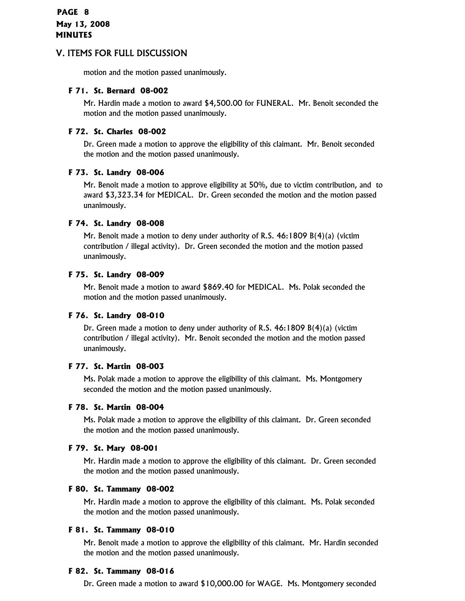motion and the motion passed unanimously.

#### **F 71. St. Bernard 08-002**

Mr. Hardin made a motion to award \$4,500.00 for FUNERAL. Mr. Benoit seconded the motion and the motion passed unanimously.

#### **F 72. St. Charles 08-002**

Dr. Green made a motion to approve the eligibility of this claimant. Mr. Benoit seconded the motion and the motion passed unanimously.

#### **F 73. St. Landry 08-006**

Mr. Benoit made a motion to approve eligibility at 50%, due to victim contribution, and to award \$3,323.34 for MEDICAL. Dr. Green seconded the motion and the motion passed unanimously.

#### **F 74. St. Landry 08-008**

Mr. Benoit made a motion to deny under authority of R.S. 46:1809 B(4)(a) (victim contribution / illegal activity). Dr. Green seconded the motion and the motion passed unanimously.

#### **F 75. St. Landry 08-009**

Mr. Benoit made a motion to award \$869.40 for MEDICAL. Ms. Polak seconded the motion and the motion passed unanimously.

#### **F 76. St. Landry 08-010**

Dr. Green made a motion to deny under authority of R.S. 46:1809 B(4)(a) (victim contribution / illegal activity). Mr. Benoit seconded the motion and the motion passed unanimously.

#### **F 77. St. Martin 08-003**

Ms. Polak made a motion to approve the eligibility of this claimant. Ms. Montgomery seconded the motion and the motion passed unanimously.

#### **F 78. St. Martin 08-004**

Ms. Polak made a motion to approve the eligibility of this claimant. Dr. Green seconded the motion and the motion passed unanimously.

#### **F 79. St. Mary 08-001**

Mr. Hardin made a motion to approve the eligibility of this claimant. Dr. Green seconded the motion and the motion passed unanimously.

#### **F 80. St. Tammany 08-002**

Mr. Hardin made a motion to approve the eligibility of this claimant. Ms. Polak seconded the motion and the motion passed unanimously.

#### **F 81. St. Tammany 08-010**

Mr. Benoit made a motion to approve the eligibility of this claimant. Mr. Hardin seconded the motion and the motion passed unanimously.

#### **F 82. St. Tammany 08-016**

Dr. Green made a motion to award \$10,000.00 for WAGE. Ms. Montgomery seconded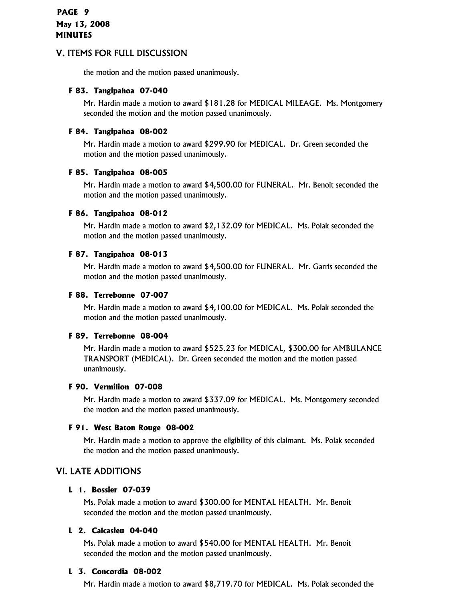the motion and the motion passed unanimously.

#### **F 83. Tangipahoa 07-040**

Mr. Hardin made a motion to award \$181.28 for MEDICAL MILEAGE. Ms. Montgomery seconded the motion and the motion passed unanimously.

#### **F 84. Tangipahoa 08-002**

Mr. Hardin made a motion to award \$299.90 for MEDICAL. Dr. Green seconded the motion and the motion passed unanimously.

#### **F 85. Tangipahoa 08-005**

Mr. Hardin made a motion to award \$4,500.00 for FUNERAL. Mr. Benoit seconded the motion and the motion passed unanimously.

#### **F 86. Tangipahoa 08-012**

Mr. Hardin made a motion to award \$2,132.09 for MEDICAL. Ms. Polak seconded the motion and the motion passed unanimously.

#### **F 87. Tangipahoa 08-013**

Mr. Hardin made a motion to award \$4,500.00 for FUNERAL. Mr. Garris seconded the motion and the motion passed unanimously.

#### **F 88. Terrebonne 07-007**

Mr. Hardin made a motion to award \$4,100.00 for MEDICAL. Ms. Polak seconded the motion and the motion passed unanimously.

#### **F 89. Terrebonne 08-004**

Mr. Hardin made a motion to award \$525.23 for MEDICAL, \$300.00 for AMBULANCE TRANSPORT (MEDICAL). Dr. Green seconded the motion and the motion passed unanimously.

#### **F 90. Vermilion 07-008**

Mr. Hardin made a motion to award \$337.09 for MEDICAL. Ms. Montgomery seconded the motion and the motion passed unanimously.

#### **F 91. West Baton Rouge 08-002**

Mr. Hardin made a motion to approve the eligibility of this claimant. Ms. Polak seconded the motion and the motion passed unanimously.

## VI. LATE ADDITIONS

#### **L 1. Bossier 07-039**

Ms. Polak made a motion to award \$300.00 for MENTAL HEALTH. Mr. Benoit seconded the motion and the motion passed unanimously.

#### **L 2. Calcasieu 04-040**

Ms. Polak made a motion to award \$540.00 for MENTAL HEALTH. Mr. Benoit seconded the motion and the motion passed unanimously.

#### **L 3. Concordia 08-002**

Mr. Hardin made a motion to award \$8,719.70 for MEDICAL. Ms. Polak seconded the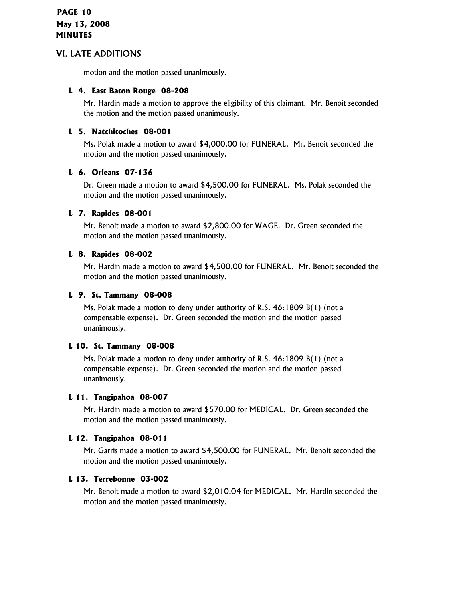## **PAGE 10 May 13, 2008 MINUTES**

## VI. LATE ADDITIONS

motion and the motion passed unanimously.

#### **L 4. East Baton Rouge 08-208**

Mr. Hardin made a motion to approve the eligibility of this claimant. Mr. Benoit seconded the motion and the motion passed unanimously.

#### **L 5. Natchitoches 08-001**

Ms. Polak made a motion to award \$4,000.00 for FUNERAL. Mr. Benoit seconded the motion and the motion passed unanimously.

#### **L 6. Orleans 07-136**

Dr. Green made a motion to award \$4,500.00 for FUNERAL. Ms. Polak seconded the motion and the motion passed unanimously.

#### **L 7. Rapides 08-001**

Mr. Benoit made a motion to award \$2,800.00 for WAGE. Dr. Green seconded the motion and the motion passed unanimously.

#### **L 8. Rapides 08-002**

Mr. Hardin made a motion to award \$4,500.00 for FUNERAL. Mr. Benoit seconded the motion and the motion passed unanimously.

#### **L 9. St. Tammany 08-008**

Ms. Polak made a motion to deny under authority of R.S. 46:1809 B(1) (not a compensable expense). Dr. Green seconded the motion and the motion passed unanimously.

#### **L 10. St. Tammany 08-008**

Ms. Polak made a motion to deny under authority of R.S. 46:1809 B(1) (not a compensable expense). Dr. Green seconded the motion and the motion passed unanimously.

#### **L 11. Tangipahoa 08-007**

Mr. Hardin made a motion to award \$570.00 for MEDICAL. Dr. Green seconded the motion and the motion passed unanimously.

#### **L 12. Tangipahoa 08-011**

Mr. Garris made a motion to award \$4,500.00 for FUNERAL. Mr. Benoit seconded the motion and the motion passed unanimously.

#### **L 13. Terrebonne 03-002**

Mr. Benoit made a motion to award \$2,010.04 for MEDICAL. Mr. Hardin seconded the motion and the motion passed unanimously.